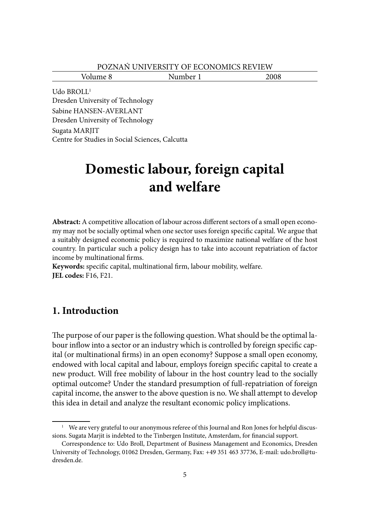| POZNAŃ UNIVERSITY OF ECONOMICS REVIEW |
|---------------------------------------|
|---------------------------------------|

Volume 8 Number 1 2008

Udo BROLL<sup>1</sup> Dresden University of Technology Sabine HANSEN-AVERLANT Dresden University of Technology Sugata MARJIT Centre for Studies in Social Sciences, Calcutta

# **Domestic labour, foreign capital and welfare**

Abstract: A competitive allocation of labour across different sectors of a small open economy may not be socially optimal when one sector uses foreign specific capital. We argue that a suitably designed economic policy is required to maximize national welfare of the host country. In particular such a policy design has to take into account repatriation of factor income by multinational firms.

Keywords: specific capital, multinational firm, labour mobility, welfare. **JEL codes:** F16, F21.

# **1. Introduction**

The purpose of our paper is the following question. What should be the optimal labour inflow into a sector or an industry which is controlled by foreign specific capital (or multinational firms) in an open economy? Suppose a small open economy, endowed with local capital and labour, employs foreign specific capital to create a new product. Will free mobility of labour in the host country lead to the socially optimal outcome? Under the standard presumption of full-repatriation of foreign capital income, the answer to the above question is no. We shall attempt to develop this idea in detail and analyze the resultant economic policy implications.

<sup>&</sup>lt;sup>1</sup> We are very grateful to our anonymous referee of this Journal and Ron Jones for helpful discussions. Sugata Marjit is indebted to the Tinbergen Institute, Amsterdam, for financial support.

Correspondence to: Udo Broll, Department of Business Management and Economics, Dresden University of Technology, 01062 Dresden, Germany, Fax: +49 351 463 37736, E-mail: udo.broll@tudresden.de.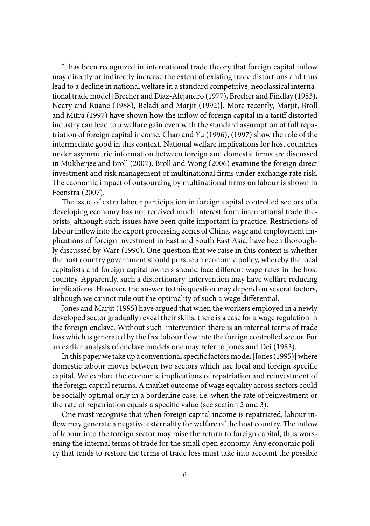It has been recognized in international trade theory that foreign capital inflow may directly or indirectly increase the extent of existing trade distortions and thus lead to a decline in national welfare in a standard competitive, neoclassical international trade model [Brecher and Diaz-Alejandro (1977), Brecher and Findlay (1983), Neary and Ruane (1988), Beladi and Marjit (1992)]. More recently, Marjit, Broll and Mitra (1997) have shown how the inflow of foreign capital in a tariff distorted industry can lead to a welfare gain even with the standard assumption of full repatriation of foreign capital income. Chao and Yu (1996), (1997) show the role of the intermediate good in this context. National welfare implications for host countries under asymmetric information between foreign and domestic firms are discussed in Mukherjee and Broll (2007). Broll and Wong (2006) examine the foreign direct investment and risk management of multinational firms under exchange rate risk. The economic impact of outsourcing by multinational firms on labour is shown in Feenstra (2007).

The issue of extra labour participation in foreign capital controlled sectors of a developing economy has not received much interest from international trade theorists, although such issues have been quite important in practice. Restrictions of labour inflow into the export processing zones of China, wage and employment implications of foreign investment in East and South East Asia, have been thoroughly discussed by Warr (1990). One question that we raise in this context is whether the host country government should pursue an economic policy, whereby the local capitalists and foreign capital owners should face different wage rates in the host country. Apparently, such a distortionary intervention may have welfare reducing implications. However, the answer to this question may depend on several factors, although we cannot rule out the optimality of such a wage differential.

Jones and Marjit (1995) have argued that when the workers employed in a newly developed sector gradually reveal their skills, there is a case for a wage regulation in the foreign enclave. Without such intervention there is an internal terms of trade loss which is generated by the free labour flow into the foreign controlled sector. For an earlier analysis of enclave models one may refer to Jones and Dei (1983).

In this paper we take up a conventional specific factors model [Jones (1995)] where domestic labour moves between two sectors which use local and foreign specific capital. We explore the economic implications of repatriation and reinvestment of the foreign capital returns. A market outcome of wage equality across sectors could be socially optimal only in a borderline case, i.e. when the rate of reinvestment or the rate of repatriation equals a specific value (see section 2 and 3).

One must recognise that when foreign capital income is repatriated, labour inflow may generate a negative externality for welfare of the host country. The inflow of labour into the foreign sector may raise the return to foreign capital, thus worsening the internal terms of trade for the small open economy. Any economic policy that tends to restore the terms of trade loss must take into account the possible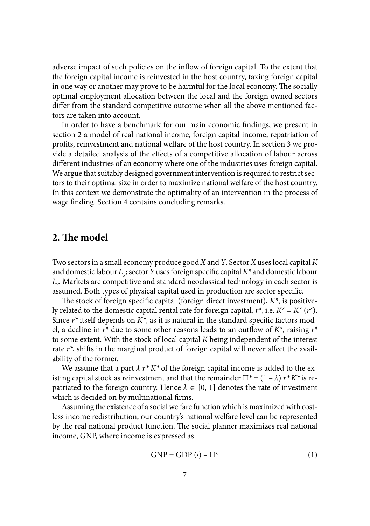adverse impact of such policies on the inflow of foreign capital. To the extent that the foreign capital income is reinvested in the host country, taxing foreign capital in one way or another may prove to be harmful for the local economy. The socially optimal employment allocation between the local and the foreign owned sectors differ from the standard competitive outcome when all the above mentioned factors are taken into account.

In order to have a benchmark for our main economic findings, we present in section 2 a model of real national income, foreign capital income, repatriation of profits, reinvestment and national welfare of the host country. In section 3 we provide a detailed analysis of the effects of a competitive allocation of labour across different industries of an economy where one of the industries uses foreign capital. We argue that suitably designed government intervention is required to restrict sectors to their optimal size in order to maximize national welfare of the host country. In this context we demonstrate the optimality of an intervention in the process of wage finding. Section 4 contains concluding remarks.

## 2. The model

Two sectors in a small economy produce good *X* and *Y*. Sector *X* uses local capital *K* and domestic labour  $L_{x}$ ; sector *Y* uses foreign specific capital  $K^*$  and domestic labour *LY*. Markets are competitive and standard neoclassical technology in each sector is assumed. Both types of physical capital used in production are sector specific.

The stock of foreign specific capital (foreign direct investment),  $K^*$ , is positively related to the domestic capital rental rate for foreign capital,  $r^*$ , i.e.  $K^* = K^* (r^*)$ . Since  $r^*$  itself depends on  $K^*$ , as it is natural in the standard specific factors model, a decline in  $r^*$  due to some other reasons leads to an outflow of  $K^*$ , raising  $r^*$ to some extent. With the stock of local capital *K* being independent of the interest rate  $r^*$ , shifts in the marginal product of foreign capital will never affect the availability of the former.

We assume that a part  $\lambda r^* K^*$  of the foreign capital income is added to the existing capital stock as reinvestment and that the remainder  $\Pi^* = (1 - \lambda) r^* K^*$  is repatriated to the foreign country. Hence  $\lambda \in [0, 1]$  denotes the rate of investment which is decided on by multinational firms.

Assuming the existence of a social welfare function which is maximized with costless income redistribution, our country's national welfare level can be represented by the real national product function. The social planner maximizes real national income, GNP, where income is expressed as

$$
GNP = GDP(\cdot) - \Pi^* \tag{1}
$$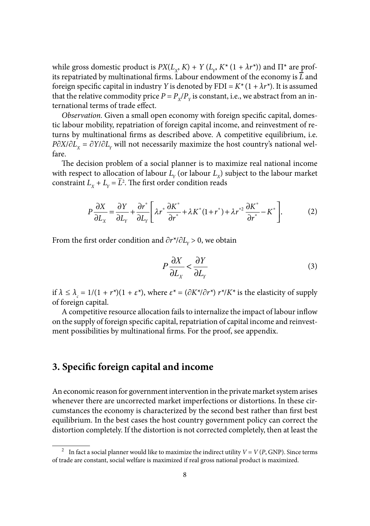while gross domestic product is  $PX(L_y, K) + Y(L_y, K^*(1 + \lambda r^*))$  and  $\Pi^*$  are profits repatriated by multinational firms. Labour endowment of the economy is  $\overline{L}$  and foreign specific capital in industry *Y* is denoted by FDI =  $K^*(1 + \lambda r^*)$ . It is assumed that the relative commodity price  $P = P_y/P_y$  is constant, i.e., we abstract from an international terms of trade effect.

*Observation*. Given a small open economy with foreign specific capital, domestic labour mobility, repatriation of foreign capital income, and reinvestment of returns by multinational firms as described above. A competitive equilibrium, i.e. *P∂X*/∂*L<sub>x</sub>* = ∂*Y*/∂*L<sub>y</sub>* will not necessarily maximize the host country's national welfare.

The decision problem of a social planner is to maximize real national income with respect to allocation of labour  $L<sub>y</sub>$  (or labour  $L<sub>y</sub>$ ) subject to the labour market constraint  $L_x + L_y = L^2$ . The first order condition reads

$$
P\frac{\partial X}{\partial L_x} = \frac{\partial Y}{\partial L_y} + \frac{\partial r^*}{\partial L_y} \left[ \lambda r^* \frac{\partial K^*}{\partial r^*} + \lambda K^* (1 + r^*) + \lambda r^{*2} \frac{\partial K^*}{\partial r^*} - K^* \right].
$$
 (2)

From the first order condition and  $\partial r^*/\partial L_v > 0$ , we obtain

$$
P\frac{\partial X}{\partial L_x} < \frac{\partial Y}{\partial L_y} \tag{3}
$$

if  $\lambda \leq \lambda_c = 1/(1 + r^*)(1 + \varepsilon^*)$ , where  $\varepsilon^* = (\partial K^*/\partial r^*) r^*/K^*$  is the elasticity of supply of foreign capital.

A competitive resource allocation fails to internalize the impact of labour inflow on the supply of foreign specific capital, repatriation of capital income and reinvestment possibilities by multinational firms. For the proof, see appendix.

## **3. Specific foreign capital and income**

An economic reason for government intervention in the private market system arises whenever there are uncorrected market imperfections or distortions. In these circumstances the economy is characterized by the second best rather than first best equilibrium. In the best cases the host country government policy can correct the distortion completely. If the distortion is not corrected completely, then at least the

<sup>&</sup>lt;sup>2</sup> In fact a social planner would like to maximize the indirect utility  $V = V(P, GNP)$ . Since terms of trade are constant, social welfare is maximized if real gross national product is maximized.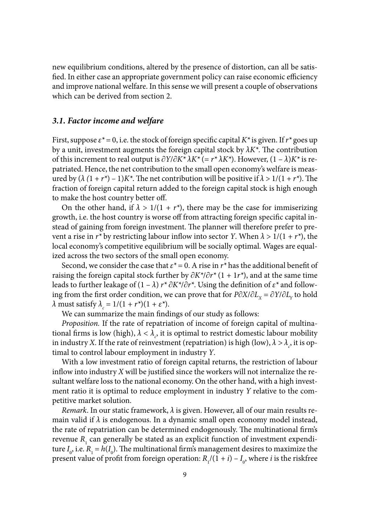new equilibrium conditions, altered by the presence of distortion, can all be satisfied. In either case an appropriate government policy can raise economic efficiency and improve national welfare. In this sense we will present a couple of observations which can be derived from section 2.

#### *3.1. Factor income and welfare*

First, suppose  $\varepsilon^* = 0$ , i.e. the stock of foreign specific capital  $K^*$  is given. If  $r^*$  goes up by a unit, investment augments the foreign capital stock by  $\lambda K^*$ . The contribution of this increment to real output is ∂*Y*/∂*K\* λK\** (= *r\* λK\**). However, (1 – *λ*)*K\** is repatriated. Hence, the net contribution to the small open economy's welfare is measured by  $(\lambda (1 + r^*) - 1)K^*$ . The net contribution will be positive if  $\lambda > 1/(1 + r^*)$ . The fraction of foreign capital return added to the foreign capital stock is high enough to make the host country better off.

On the other hand, if  $\lambda > 1/(1 + r^*)$ , there may be the case for immiserizing growth, i.e. the host country is worse off from attracting foreign specific capital instead of gaining from foreign investment. The planner will therefore prefer to prevent a rise in  $r^*$  by restricting labour inflow into sector *Y*. When  $\lambda > 1/(1 + r^*)$ , the local economy's competitive equilibrium will be socially optimal. Wages are equalized across the two sectors of the small open economy.

Second, we consider the case that  $\varepsilon^* = 0$ . A rise in  $r^*$  has the additional benefit of raising the foreign capital stock further by ∂*K\**/∂*r\** (1 + 1*r\**), and at the same time leads to further leakage of  $(1 - \lambda) r^* \partial K^* / \partial r^*$ . Using the definition of  $\varepsilon^*$  and following from the first order condition, we can prove that for *P∂X*/∂*L*<sub>*x*</sub> = ∂*Y*/∂*L*<sub>*y*</sub> to hold *λ* must satisfy  $λ<sub>c</sub> = 1/(1 + r<sup>*</sup>)(1 + ε<sup>*</sup>).$ 

We can summarize the main findings of our study as follows:

*Proposition.* If the rate of repatriation of income of foreign capital of multinational firms is low (high),  $\lambda < \lambda_c$ , it is optimal to restrict domestic labour mobility in industry *X*. If the rate of reinvestment (repatriation) is high (low),  $\lambda > \lambda_c$ , it is optimal to control labour employment in industry *Y*.

With a low investment ratio of foreign capital returns, the restriction of labour inflow into industry  $X$  will be justified since the workers will not internalize the resultant welfare loss to the national economy. On the other hand, with a high investment ratio it is optimal to reduce employment in industry *Y* relative to the competitive market solution.

*Remark*. In our static framework, *λ* is given. However, all of our main results remain valid if  $\lambda$  is endogenous. In a dynamic small open economy model instead, the rate of repatriation can be determined endogenously. The multinational firm's revenue  $R_1$  can generally be stated as an explicit function of investment expenditure  $I_0$ , i.e.  $R_1 = h(I_0)$ . The multinational firm's management desires to maximize the present value of profit from foreign operation:  $R_1/(1 + i) - I_0$ , where *i* is the riskfree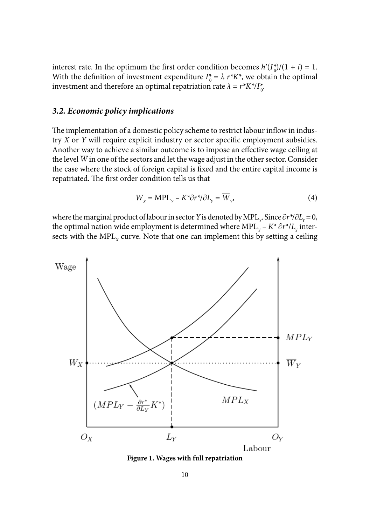interest rate. In the optimum the first order condition becomes  $h'(I_0^*)/(1 + i) = 1$ . With the definition of investment expenditure  $I_0^* = \lambda r^*K^*$ , we obtain the optimal investment and therefore an optimal repatriation rate  $\lambda = r^* K^* / I^*_{0}$ .

### *3.2. Economic policy implications*

The implementation of a domestic policy scheme to restrict labour inflow in industry *X* or *Y* will require explicit industry or sector specific employment subsidies. Another way to achieve a similar outcome is to impose an effective wage ceiling at the level  $\overline{W}$  in one of the sectors and let the wage adjust in the other sector. Consider the case where the stock of foreign capital is fixed and the entire capital income is repatriated. The first order condition tells us that

$$
W_{X} = \text{MPL}_{Y} - K^{\star} \partial r^{\star} / \partial L_{Y} = \overline{W}_{Y},\tag{4}
$$

where the marginal product of labour in sector *Y* is denoted by MPL<sub>y</sub>. Since  $\partial r^* / \partial L_y = 0$ , the optimal nation wide employment is determined where MPL<sub>*y</sub>* –  $K^* \partial r^* / L$ <sub>*y*</sub> inter-</sub> sects with the  $MPL<sub>x</sub>$  curve. Note that one can implement this by setting a ceiling



**Figure 1. Wages with full repatriation**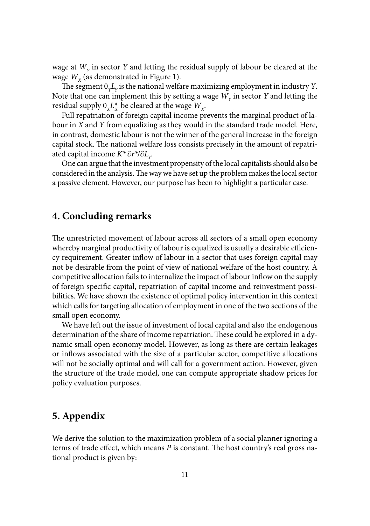wage at  $\overline{W}_v$  in sector *Y* and letting the residual supply of labour be cleared at the wage  $W_{\rm v}$  (as demonstrated in Figure 1).

The segment  $0<sub>x</sub>L<sub>y</sub>$  is the national welfare maximizing employment in industry *Y*. Note that one can implement this by setting a wage  $W_{\nu}$  in sector *Y* and letting the residual supply  $0_x L_x^*$  be cleared at the wage  $W_y$ .

Full repatriation of foreign capital income prevents the marginal product of labour in *X* and *Y* from equalizing as they would in the standard trade model. Here, in contrast, domestic labour is not the winner of the general increase in the foreign capital stock. The national welfare loss consists precisely in the amount of repatriated capital income *K\** ∂*r\**/∂*LY*.

One can argue that the investment propensity of the local capitalists should also be considered in the analysis. The way we have set up the problem makes the local sector a passive element. However, our purpose has been to highlight a particular case.

## **4. Concluding remarks**

The unrestricted movement of labour across all sectors of a small open economy whereby marginal productivity of labour is equalized is usually a desirable efficiency requirement. Greater inflow of labour in a sector that uses foreign capital may not be desirable from the point of view of national welfare of the host country. A competitive allocation fails to internalize the impact of labour inflow on the supply of foreign specific capital, repatriation of capital income and reinvestment possibilities. We have shown the existence of optimal policy intervention in this context which calls for targeting allocation of employment in one of the two sections of the small open economy.

We have left out the issue of investment of local capital and also the endogenous determination of the share of income repatriation. These could be explored in a dynamic small open economy model. However, as long as there are certain leakages or inflows associated with the size of a particular sector, competitive allocations will not be socially optimal and will call for a government action. However, given the structure of the trade model, one can compute appropriate shadow prices for policy evaluation purposes.

## **5. Appendix**

We derive the solution to the maximization problem of a social planner ignoring a terms of trade effect, which means *P* is constant. The host country's real gross national product is given by: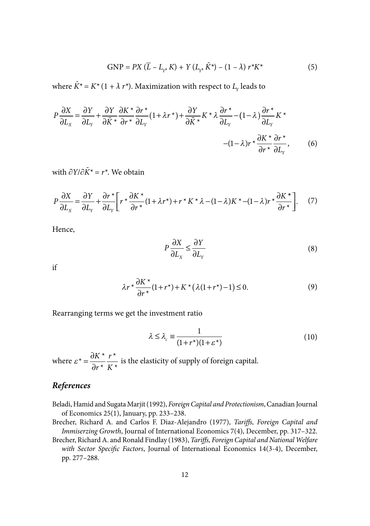$$
GNP = PX (\bar{L} - L_{Y}, K) + Y (L_{Y}, \tilde{K}^{*}) - (1 - \lambda) r^{*} K^{*}
$$
 (5)

where  $\tilde{K}^* = K^* (1 + \lambda r^*)$ . Maximization with respect to  $L_y$  leads to

$$
P\frac{\partial X}{\partial L_x} = \frac{\partial Y}{\partial L_y} + \frac{\partial Y}{\partial \tilde{K}^*} \frac{\partial K^*}{\partial r^*} \frac{\partial r^*}{\partial L_y} (1 + \lambda r^*) + \frac{\partial Y}{\partial \tilde{K}^*} K^* \lambda \frac{\partial r^*}{\partial L_y} - (1 - \lambda) \frac{\partial r^*}{\partial L_y} K^* - (1 - \lambda) r^* \frac{\partial K^*}{\partial r^*} \frac{\partial r^*}{\partial L_y},
$$
(6)

with ∂*Y*/∂*K˜\* = r\**. We obtain

$$
P\frac{\partial X}{\partial L_x} = \frac{\partial Y}{\partial L_y} + \frac{\partial r^*}{\partial L_y} \left[ r^* \frac{\partial K^*}{\partial r^*} (1 + \lambda r^*) + r^* K^* \lambda - (1 - \lambda) K^* - (1 - \lambda) r^* \frac{\partial K^*}{\partial r^*} \right].
$$
 (7)

Hence,

$$
P\frac{\partial X}{\partial L_x} \le \frac{\partial Y}{\partial L_y} \tag{8}
$$

if

$$
\lambda r^* \frac{\partial K^*}{\partial r^*} (1 + r^*) + K^* \left( \lambda (1 + r^*) - 1 \right) \le 0. \tag{9}
$$

Rearranging terms we get the investment ratio

$$
\lambda \le \lambda_c \equiv \frac{1}{(1+r^*)(1+\varepsilon^*)} \tag{10}
$$

where  $\varepsilon^* = \frac{\partial K}{\partial r^*} \frac{r}{K^*}$  $=\frac{\partial K^*}{\partial r^*}\frac{r^*}{K^*}$ ∂ *K r*  $\frac{r^*}{K^*}$  is the elasticity of supply of foreign capital.

## *References*

- Beladi, Hamid and Sugata Marjit (1992), *Foreign Capital and Protectionism*, Canadian Journal of Economics 25(1), January, pp. 233–238.
- Brecher, Richard A. and Carlos F. Diaz-Alejandro (1977), *Tariffs*, *Foreign Capital and Immiserzing Growth*, Journal of International Economics 7(4), December, pp. 317–322.
- Brecher, Richard A. and Ronald Findlay (1983), *Tariffs, Foreign Capital and National Welfare with Sector Specific Factors*, Journal of International Economics 14(3-4), December, pp. 277–288.